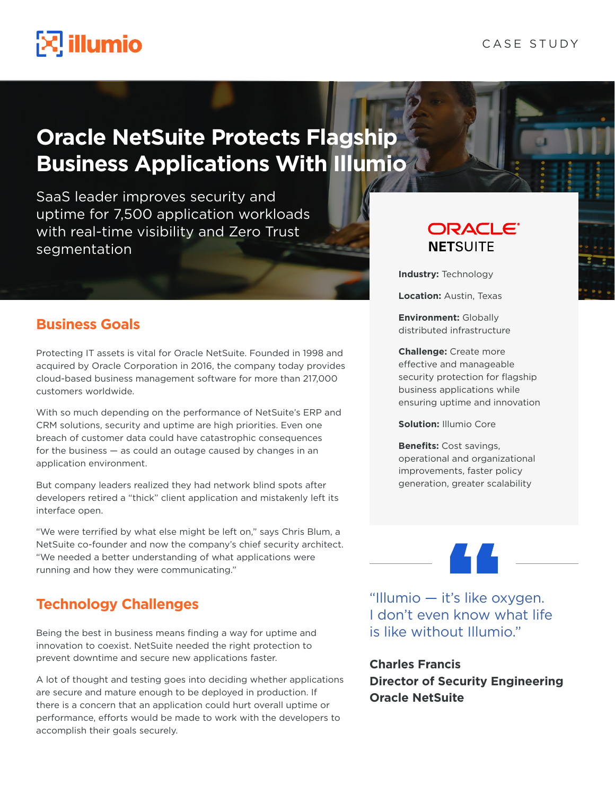# $\mathbb{E}$  illumio

## **Oracle NetSuite Protects Flagship Business Applications With Illumio**

SaaS leader improves security and uptime for 7,500 application workloads with real-time visibility and Zero Trust segmentation

### **Business Goals**

Protecting IT assets is vital for Oracle NetSuite. Founded in 1998 and acquired by Oracle Corporation in 2016, the company today provides cloud-based business management software for more than 217,000 customers worldwide.

With so much depending on the performance of NetSuite's ERP and CRM solutions, security and uptime are high priorities. Even one breach of customer data could have catastrophic consequences for the business — as could an outage caused by changes in an application environment.

But company leaders realized they had network blind spots after developers retired a "thick" client application and mistakenly left its interface open.

"We were terrified by what else might be left on," says Chris Blum, a NetSuite co-founder and now the company's chief security architect. "We needed a better understanding of what applications were running and how they were communicating."

### **Technology Challenges**

Being the best in business means finding a way for uptime and innovation to coexist. NetSuite needed the right protection to prevent downtime and secure new applications faster.

A lot of thought and testing goes into deciding whether applications are secure and mature enough to be deployed in production. If there is a concern that an application could hurt overall uptime or performance, efforts would be made to work with the developers to accomplish their goals securely.

### **ORACLE® NETSUITE**

**Industry:** Technology

**Location:** Austin, Texas

**Environment:** Globally distributed infrastructure

**Challenge:** Create more effective and manageable security protection for flagship business applications while ensuring uptime and innovation

**Solution:** Illumio Core

**Benefits:** Cost savings, operational and organizational improvements, faster policy generation, greater scalability

"Illumio — it's like oxygen. I don't even know what life is like without Illumio."

**Charles Francis Director of Security Engineering Oracle NetSuite**